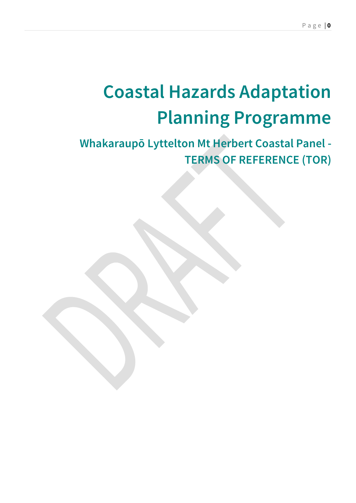# **Coastal Hazards Adaptation Planning Programme**

# **Whakaraupō Lyttelton Mt Herbert Coastal Panel - TERMS OF REFERENCE (TOR)**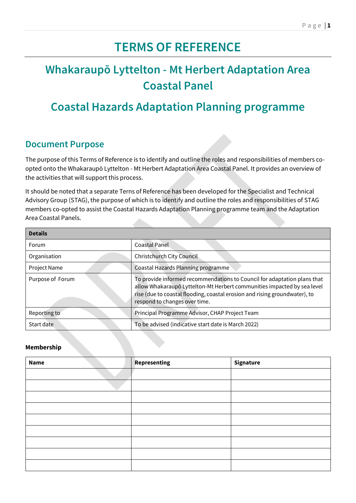# **TERMS OF REFERENCE**

# **Whakaraupō Lyttelton - Mt Herbert Adaptation Area Coastal Panel**

# **Coastal Hazards Adaptation Planning programme**

### **Document Purpose**

The purpose of this Terms of Reference is to identify and outline the roles and responsibilities of members coopted onto the Whakaraupō Lyttelton - Mt Herbert Adaptation Area Coastal Panel. It provides an overview of the activities that will support this process.

It should be noted that a separate Terns of Reference has been developed for the Specialist and Technical Advisory Group (STAG), the purpose of which is to identify and outline the roles and responsibilities of STAG members co-opted to assist the Coastal Hazards Adaptation Planning programme team and the Adaptation Area Coastal Panels.

| <b>Details</b>   |                                                                                                                                                                                                                                                                    |  |  |
|------------------|--------------------------------------------------------------------------------------------------------------------------------------------------------------------------------------------------------------------------------------------------------------------|--|--|
| Forum            | <b>Coastal Panel</b>                                                                                                                                                                                                                                               |  |  |
| Organisation     | Christchurch City Council                                                                                                                                                                                                                                          |  |  |
| Project Name     | Coastal Hazards Planning programme                                                                                                                                                                                                                                 |  |  |
| Purpose of Forum | To provide informed recommendations to Council for adaptation plans that<br>allow Whakaraupō Lyttelton-Mt Herbert communities impacted by sea level<br>rise (due to coastal flooding, coastal erosion and rising groundwater), to<br>respond to changes over time. |  |  |
| Reporting to     | Principal Programme Advisor, CHAP Project Team                                                                                                                                                                                                                     |  |  |
| Start date       | To be advised (indicative start date is March 2022)                                                                                                                                                                                                                |  |  |

#### **Membership**

| <b>Name</b> | Representing | Signature |
|-------------|--------------|-----------|
|             |              |           |
|             |              |           |
|             |              |           |
|             |              |           |
|             |              |           |
|             |              |           |
|             |              |           |
|             |              |           |
|             |              |           |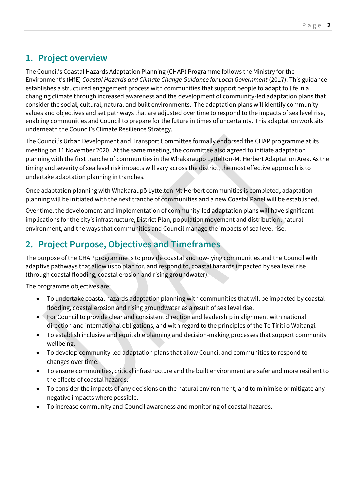# **1. Project overview**

The Council's Coastal Hazards Adaptation Planning (CHAP) Programme follows the Ministry for the Environment's (MfE) *Coastal Hazards and Climate Change Guidance for Local Government* (2017). This guidance establishes a structured engagement process with communities that support people to adapt to life in a changing climate through increased awareness and the development of community-led adaptation plans that consider the social, cultural, natural and built environments. The adaptation plans will identify community values and objectives and set pathways that are adjusted over time to respond to the impacts of sea level rise, enabling communities and Council to prepare for the future in times of uncertainty. This adaptation work sits underneath the Council's Climate Resilience Strategy.

The Council's Urban Development and Transport Committee formally endorsed the CHAP programme at its meeting on 11 November 2020. At the same meeting, the committee also agreed to initiate adaptation planning with the first tranche of communities in the Whakaraupō Lyttelton-Mt Herbert Adaptation Area. As the timing and severity of sea level risk impacts will vary across the district, the most effective approach is to undertake adaptation planning in tranches.

Once adaptation planning with Whakaraupō Lyttelton-Mt Herbert communities is completed, adaptation planning will be initiated with the next tranche of communities and a new Coastal Panel will be established.

Over time, the development and implementation of community-led adaptation plans will have significant implications for the city's infrastructure, District Plan, population movement and distribution, natural environment, and the ways that communities and Council manage the impacts of sea level rise.

# **2. Project Purpose, Objectives and Timeframes**

The purpose of the CHAP programme is to provide coastal and low-lying communities and the Council with adaptive pathways that allow us to plan for, and respond to, coastal hazards impacted by sea level rise (through coastal flooding, coastal erosion and rising groundwater).

The programme objectives are:

- To undertake coastal hazards adaptation planning with communities that will be impacted by coastal flooding, coastal erosion and rising groundwater as a result of sea level rise.
- For Council to provide clear and consistent direction and leadership in alignment with national direction and international obligations, and with regard to the principles of the Te Tiriti o Waitangi.
- To establish inclusive and equitable planning and decision-making processes that support community wellbeing.
- To develop community-led adaptation plans that allow Council and communities to respond to changes over time.
- To ensure communities, critical infrastructure and the built environment are safer and more resilient to the effects of coastal hazards.
- To consider the impacts of any decisions on the natural environment, and to minimise or mitigate any negative impacts where possible.
- To increase community and Council awareness and monitoring of coastal hazards.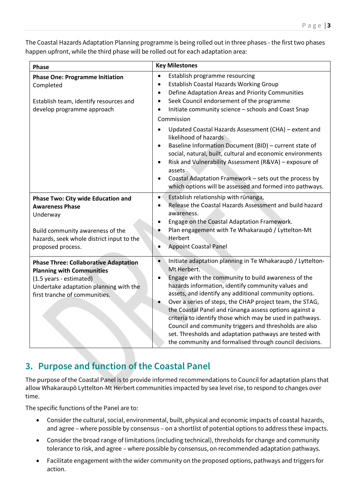The Coastal Hazards Adaptation Planning programme is being rolled out in three phases - the first two phases happen upfront, while the third phase will be rolled out for each adaptation area:

| Phase                                                                                                                                                                                  | <b>Key Milestones</b>                                                                                                                                                                                                                                                                                                                                                                                                                                                                                                                                                                                                                         |  |
|----------------------------------------------------------------------------------------------------------------------------------------------------------------------------------------|-----------------------------------------------------------------------------------------------------------------------------------------------------------------------------------------------------------------------------------------------------------------------------------------------------------------------------------------------------------------------------------------------------------------------------------------------------------------------------------------------------------------------------------------------------------------------------------------------------------------------------------------------|--|
| <b>Phase One: Programme Initiation</b><br>Completed<br>Establish team, identify resources and<br>develop programme approach                                                            | Establish programme resourcing<br>$\bullet$<br>Establish Coastal Hazards Working Group<br>$\bullet$<br>Define Adaptation Areas and Priority Communities<br>$\bullet$<br>Seek Council endorsement of the programme<br>$\bullet$<br>Initiate community science - schools and Coast Snap<br>$\bullet$<br>Commission                                                                                                                                                                                                                                                                                                                              |  |
|                                                                                                                                                                                        | Updated Coastal Hazards Assessment (CHA) - extent and<br>$\bullet$<br>likelihood of hazards<br>Baseline Information Document (BID) - current state of<br>$\bullet$<br>social, natural, built, cultural and economic environments<br>Risk and Vulnerability Assessment (R&VA) - exposure of<br>$\bullet$<br>assets<br>Coastal Adaptation Framework - sets out the process by<br>$\bullet$<br>which options will be assessed and formed into pathways.                                                                                                                                                                                          |  |
| Phase Two: City wide Education and<br><b>Awareness Phase</b><br>Underway<br>Build community awareness of the<br>hazards, seek whole district input to the<br>proposed process.         | Establish relationship with rūnanga,<br>$\bullet$<br>Release the Coastal Hazards Assessment and build hazard<br>$\bullet$<br>awareness.<br>Engage on the Coastal Adaptation Framework.<br>٠<br>Plan engagement with Te Whakaraupō / Lyttelton-Mt<br>Herbert<br><b>Appoint Coastal Panel</b><br>$\bullet$                                                                                                                                                                                                                                                                                                                                      |  |
| <b>Phase Three: Collaborative Adaptation</b><br><b>Planning with Communities</b><br>(1.5 years - estimated)<br>Undertake adaptation planning with the<br>first tranche of communities. | $\bullet$<br>Initiate adaptation planning in Te Whakaraupo / Lyttelton-<br>Mt Herbert.<br>Engage with the community to build awareness of the<br>$\bullet$<br>hazards information, identify community values and<br>assets, and identify any additional community options.<br>Over a series of steps, the CHAP project team, the STAG,<br>the Coastal Panel and rūnanga assess options against a<br>criteria to identify those which may be used in pathways.<br>Council and community triggers and thresholds are also<br>set. Thresholds and adaptation pathways are tested with<br>the community and formalised through council decisions. |  |

# **3. Purpose and function of the Coastal Panel**

The purpose of the Coastal Panel is to provide informed recommendations to Council for adaptation plans that allow Whakaraupō Lyttelton-Mt Herbert communities impacted by sea level rise, to respond to changes over time.

The specific functions of the Panel are to:

- Consider the cultural, social, environmental, built, physical and economic impacts of coastal hazards, and agree – where possible by consensus – on a shortlist of potential options to address these impacts.
- Consider the broad range of limitations (including technical), thresholds for change and community tolerance to risk, and agree – where possible by consensus, on recommended adaptation pathways.
- Facilitate engagement with the wider community on the proposed options, pathways and triggers for action.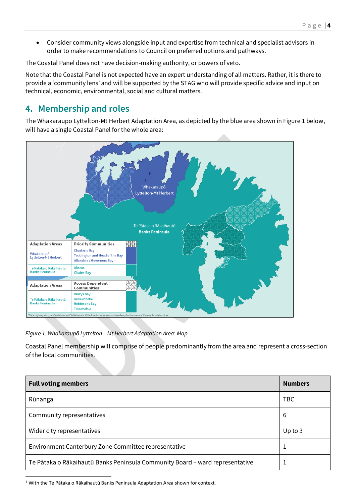Consider community views alongside input and expertise from technical and specialist advisors in order to make recommendations to Council on preferred options and pathways.

The Coastal Panel does not have decision-making authority, or powers of veto.

Note that the Coastal Panel is not expected have an expert understanding of all matters. Rather, it is there to provide a 'community lens' and will be supported by the STAG who will provide specific advice and input on technical, economic, environmental, social and cultural matters.

## **4. Membership and roles**

The Whakaraupō Lyttelton-Mt Herbert Adaptation Area, as depicted by the blue area shown in Figure 1 below, will have a single Coastal Panel for the whole area:



*Figure 1. Whakaraupō Lyttelton – Mt Herbert Adaptation Area<sup>1</sup> Map* 

Coastal Panel membership will comprise of people predominantly from the area and represent a cross-section of the local communities.

| <b>Full voting members</b>                                                   | <b>Numbers</b> |
|------------------------------------------------------------------------------|----------------|
| Rūnanga                                                                      | <b>TBC</b>     |
| Community representatives                                                    | 6              |
| Wider city representatives                                                   | Up to $3$      |
| Environment Canterbury Zone Committee representative                         | 1              |
| Te Pātaka o Rākaihautū Banks Peninsula Community Board - ward representative |                |

 $\overline{a}$  $1$  With the Te Pātaka o Rākaihautū Banks Peninsula Adaptation Area shown for context.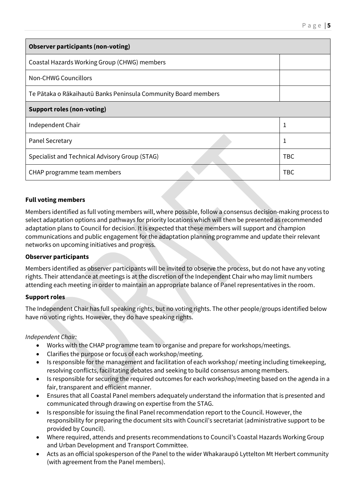| <b>Observer participants (non-voting)</b>                      |            |  |
|----------------------------------------------------------------|------------|--|
| Coastal Hazards Working Group (CHWG) members                   |            |  |
| Non-CHWG Councillors                                           |            |  |
| Te Pātaka o Rākaihautū Banks Peninsula Community Board members |            |  |
| <b>Support roles (non-voting)</b>                              |            |  |
| Independent Chair                                              | 1          |  |
| Panel Secretary                                                | 1          |  |
| Specialist and Technical Advisory Group (STAG)                 | <b>TBC</b> |  |
| CHAP programme team members                                    | <b>TBC</b> |  |

#### **Full voting members**

Members identified as full voting members will, where possible, follow a consensus decision-making process to select adaptation options and pathways for priority locations which will then be presented as recommended adaptation plans to Council for decision. It is expected that these members will support and champion communications and public engagement for the adaptation planning programme and update their relevant networks on upcoming initiatives and progress.

#### **Observer participants**

Members identified as observer participants will be invited to observe the process, but do not have any voting rights. Their attendance at meetings is at the discretion of the Independent Chair who may limit numbers attending each meeting in order to maintain an appropriate balance of Panel representatives in the room.

#### **Support roles**

The Independent Chair has full speaking rights, but no voting rights. The other people/groups identified below have no voting rights. However, they do have speaking rights.

*Independent Chair:* 

- Works with the CHAP programme team to organise and prepare for workshops/meetings.
- Clarifies the purpose or focus of each workshop/meeting.
- Is responsible for the management and facilitation of each workshop/ meeting including timekeeping, resolving conflicts, facilitating debates and seeking to build consensus among members.
- Is responsible for securing the required outcomes for each workshop/meeting based on the agenda in a fair, transparent and efficient manner.
- Ensures that all Coastal Panel members adequately understand the information that is presented and communicated through drawing on expertise from the STAG.
- Is responsible for issuing the final Panel recommendation report to the Council. However, the responsibility for preparing the document sits with Council's secretariat (administrative support to be provided by Council).
- Where required, attends and presents recommendations to Council's Coastal Hazards Working Group and Urban Development and Transport Committee.
- Acts as an official spokesperson of the Panel to the wider Whakaraupō Lyttelton Mt Herbert community (with agreement from the Panel members).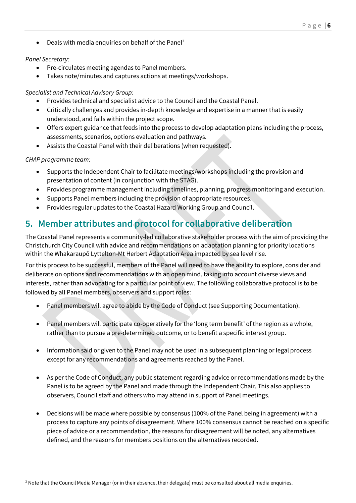Deals with media enquiries on behalf of the Panel<sup>2</sup>

#### *Panel Secretary:*

- Pre-circulates meeting agendas to Panel members.
- Takes note/minutes and captures actions at meetings/workshops.

#### *Specialist and Technical Advisory Group:*

- Provides technical and specialist advice to the Council and the Coastal Panel.
- Critically challenges and provides in-depth knowledge and expertise in a manner that is easily understood, and falls within the project scope.
- Offers expert guidance that feeds into the process to develop adaptation plans including the process, assessments, scenarios, options evaluation and pathways.
- Assists the Coastal Panel with their deliberations (when requested).

#### *CHAP programme team:*

 $\overline{a}$ 

- Supports the Independent Chair to facilitate meetings/workshops including the provision and presentation of content (in conjunction with the STAG).
- Provides programme management including timelines, planning, progress monitoring and execution.
- Supports Panel members including the provision of appropriate resources.
- Provides regular updates to the Coastal Hazard Working Group and Council.

### **5. Member attributes and protocol for collaborative deliberation**

The Coastal Panel represents a community-led collaborative stakeholder process with the aim of providing the Christchurch City Council with advice and recommendations on adaptation planning for priority locations within the Whakaraupō Lyttelton-Mt Herbert Adaptation Area impacted by sea level rise.

For this process to be successful, members of the Panel will need to have the ability to explore, consider and deliberate on options and recommendations with an open mind, taking into account diverse views and interests, rather than advocating for a particular point of view. The following collaborative protocol is to be followed by all Panel members, observers and support roles:

- Panel members will agree to abide by the Code of Conduct (see Supporting Documentation).
- Panel members will participate co-operatively for the 'long term benefit' of the region as a whole, rather than to pursue a pre-determined outcome, or to benefit a specific interest group.
- Information said or given to the Panel may not be used in a subsequent planning or legal process except for any recommendations and agreements reached by the Panel.
- As per the Code of Conduct, any public statement regarding advice or recommendations made by the Panel is to be agreed by the Panel and made through the Independent Chair. This also applies to observers, Council staff and others who may attend in support of Panel meetings.
- Decisions will be made where possible by consensus (100% of the Panel being in agreement) with a process to capture any points of disagreement. Where 100% consensus cannot be reached on a specific piece of advice or a recommendation, the reasons for disagreement will be noted, any alternatives defined, and the reasons for members positions on the alternatives recorded.

<sup>&</sup>lt;sup>2</sup> Note that the Council Media Manager (or in their absence, their delegate) must be consulted about all media enquiries.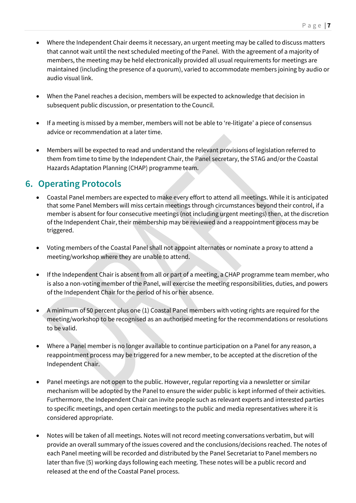- Where the Independent Chair deems it necessary, an urgent meeting may be called to discuss matters that cannot wait until the next scheduled meeting of the Panel. With the agreement of a majority of members, the meeting may be held electronically provided all usual requirements for meetings are maintained (including the presence of a quorum), varied to accommodate members joining by audio or audio visual link.
- When the Panel reaches a decision, members will be expected to acknowledge that decision in subsequent public discussion, or presentation to the Council.
- If a meeting is missed by a member, members will not be able to 're-litigate' a piece of consensus advice or recommendation at a later time.
- Members will be expected to read and understand the relevant provisions of legislation referred to them from time to time by the Independent Chair, the Panel secretary, the STAG and/or the Coastal Hazards Adaptation Planning (CHAP) programme team.

### **6. Operating Protocols**

- Coastal Panel members are expected to make every effort to attend all meetings. While it is anticipated that some Panel Members will miss certain meetings through circumstances beyond their control, if a member is absent for four consecutive meetings (not including urgent meetings) then, at the discretion of the Independent Chair, their membership may be reviewed and a reappointment process may be triggered.
- Voting members of the Coastal Panel shall not appoint alternates or nominate a proxy to attend a meeting/workshop where they are unable to attend.
- If the Independent Chair is absent from all or part of a meeting, a CHAP programme team member, who is also a non-voting member of the Panel, will exercise the meeting responsibilities, duties, and powers of the Independent Chair for the period of his or her absence.
- A minimum of 50 percent plus one (1) Coastal Panel members with voting rights are required for the meeting/workshop to be recognised as an authorised meeting for the recommendations or resolutions to be valid.
- Where a Panel member is no longer available to continue participation on a Panel for any reason, a reappointment process may be triggered for a new member, to be accepted at the discretion of the Independent Chair.
- Panel meetings are not open to the public. However, regular reporting via a newsletter or similar mechanism will be adopted by the Panel to ensure the wider public is kept informed of their activities. Furthermore, the Independent Chair can invite people such as relevant experts and interested parties to specific meetings, and open certain meetings to the public and media representatives where it is considered appropriate.
- Notes will be taken of all meetings. Notes will not record meeting conversations verbatim, but will provide an overall summary of the issues covered and the conclusions/decisions reached. The notes of each Panel meeting will be recorded and distributed by the Panel Secretariat to Panel members no later than five (5) working days following each meeting. These notes will be a public record and released at the end of the Coastal Panel process.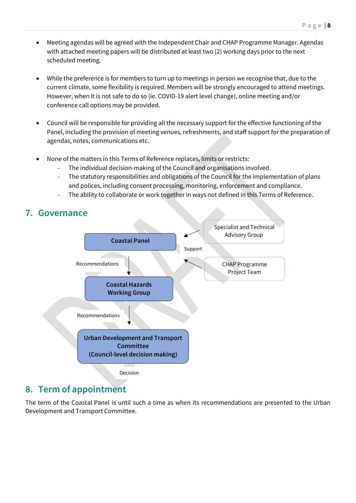- Meeting agendas will be agreed with the Independent Chair and CHAP Programme Manager. Agendas with attached meeting papers will be distributed at least two (2) working days prior to the next scheduled meeting.
- While the preference is for members to turn up to meetings in person we recognise that, due to the current climate, some flexibility is required. Members will be strongly encouraged to attend meetings. However, when it is not safe to do so (ie. COVID-19 alert level change), online meeting and/or conference call options may be provided.
- Council will be responsible for providing all the necessary support for the effective functioning of the Panel, including the provision of meeting venues, refreshments, and staff support for the preparation of agendas, notes, communications etc.
- None of the matters in this Terms of Reference replaces, limits or restricts:
	- The individual decision-making of the Council and organisations involved.
	- The statutory responsibilities and obligations of the Council for the implementation of plans and polices, including consent processing, monitoring, enforcement and compliance.
	- The ability to collaborate or work together in ways not defined in this Terms of Reference.



### **8. Term of appointment**

The term of the Coastal Panel is until such a time as when its recommendations are presented to the Urban Development and Transport Committee.